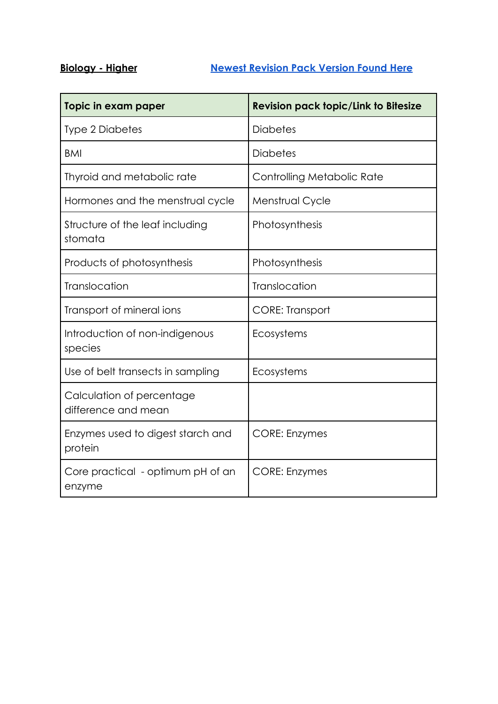## **Biology - Higher [Newest Revision Pack Version Found](https://drive.google.com/file/d/1Wyt4gMwWJ6AM9gCIa_2DoUQduxm1Lymm/view?usp=sharing) Here**

| Topic in exam paper                              | <b>Revision pack topic/Link to Bitesize</b> |
|--------------------------------------------------|---------------------------------------------|
| <b>Type 2 Diabetes</b>                           | <b>Diabetes</b>                             |
| <b>BMI</b>                                       | <b>Diabetes</b>                             |
| Thyroid and metabolic rate                       | Controlling Metabolic Rate                  |
| Hormones and the menstrual cycle                 | Menstrual Cycle                             |
| Structure of the leaf including<br>stomata       | Photosynthesis                              |
| Products of photosynthesis                       | Photosynthesis                              |
| <b>Translocation</b>                             | Translocation                               |
| Transport of mineral ions                        | <b>CORE: Transport</b>                      |
| Introduction of non-indigenous<br>species        | Ecosystems                                  |
| Use of belt transects in sampling                | Ecosystems                                  |
| Calculation of percentage<br>difference and mean |                                             |
| Enzymes used to digest starch and<br>protein     | <b>CORE: Enzymes</b>                        |
| Core practical - optimum pH of an<br>enzyme      | <b>CORE: Enzymes</b>                        |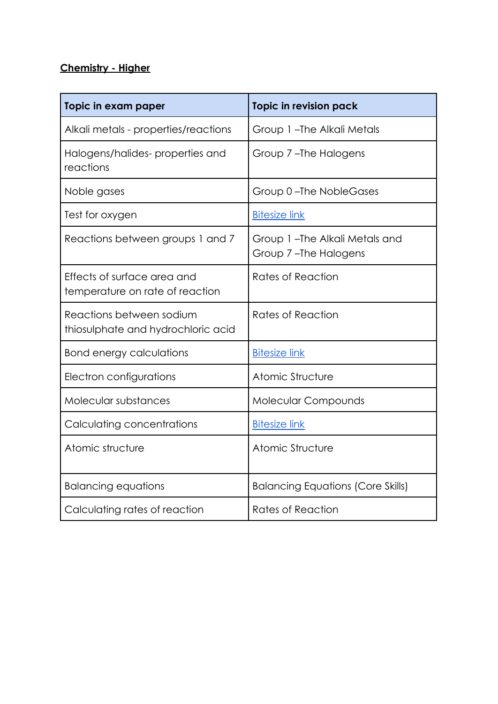## **Chemistry - Higher**

| Topic in exam paper                                            | Topic in revision pack                                |
|----------------------------------------------------------------|-------------------------------------------------------|
| Alkali metals - properties/reactions                           | Group 1-The Alkali Metals                             |
| Halogens/halides-properties and<br>reactions                   | Group 7-The Halogens                                  |
| Noble gases                                                    | Group 0-The NobleGases                                |
| Test for oxygen                                                | <b>Bitesize link</b>                                  |
| Reactions between groups 1 and 7                               | Group 1-The Alkali Metals and<br>Group 7-The Halogens |
| Effects of surface area and<br>temperature on rate of reaction | Rates of Reaction                                     |
| Reactions between sodium<br>thiosulphate and hydrochloric acid | Rates of Reaction                                     |
| <b>Bond energy calculations</b>                                | <b>Bitesize link</b>                                  |
| Electron configurations                                        | Atomic Structure                                      |
| Molecular substances                                           | <b>Molecular Compounds</b>                            |
| Calculating concentrations                                     | <b>Bitesize link</b>                                  |
| Atomic structure                                               | Atomic Structure                                      |
| <b>Balancing equations</b>                                     | <b>Balancing Equations (Core Skills)</b>              |
| Calculating rates of reaction                                  | Rates of Reaction                                     |